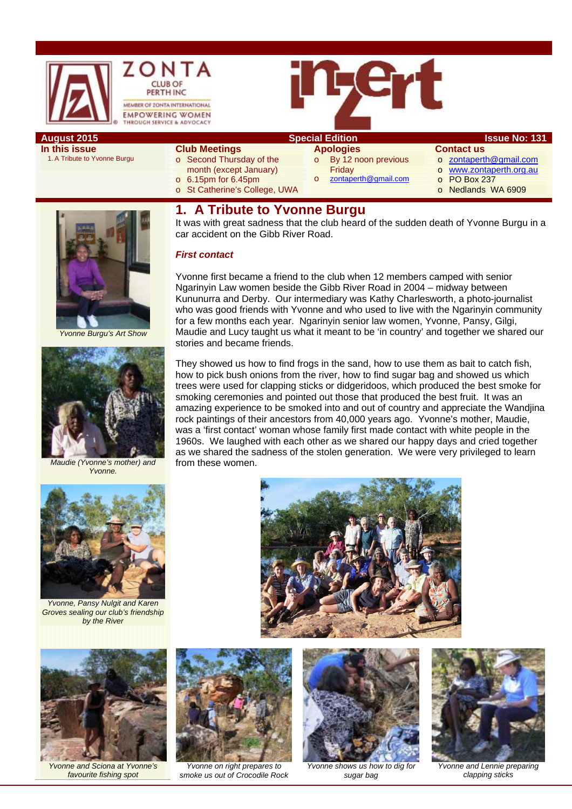



## **August 2015 Special Edition Special Edition ISSUE No: 131**

**In this issue**  1. A Tribute to Yvonne Burgu **Club Meetings** 

month (except January) o 6.15pm for 6.45pm

o St Catherine's College, UWA

- o Second Thursday of the
- **Apologies**

Friday

# **Contact us**

- o zontaperth@gmail.com
- o www.zontaperth.org.au
	- o PO Box 237
	- o Nedlands WA 6909

# **1. A Tribute to Yvonne Burgu**

It was with great sadness that the club heard of the sudden death of Yvonne Burgu in a car accident on the Gibb River Road.

o By 12 noon previous

zontaperth@gmail.com

### *First contact*

Yvonne first became a friend to the club when 12 members camped with senior Ngarinyin Law women beside the Gibb River Road in 2004 – midway between Kununurra and Derby. Our intermediary was Kathy Charlesworth, a photo-journalist who was good friends with Yvonne and who used to live with the Ngarinyin community for a few months each year. Ngarinyin senior law women, Yvonne, Pansy, Gilgi, Maudie and Lucy taught us what it meant to be 'in country' and together we shared our stories and became friends.

They showed us how to find frogs in the sand, how to use them as bait to catch fish. how to pick bush onions from the river, how to find sugar bag and showed us which trees were used for clapping sticks or didgeridoos, which produced the best smoke for smoking ceremonies and pointed out those that produced the best fruit. It was an amazing experience to be smoked into and out of country and appreciate the Wandjina rock paintings of their ancestors from 40,000 years ago. Yvonne's mother, Maudie, was a 'first contact' woman whose family first made contact with white people in the 1960s. We laughed with each other as we shared our happy days and cried together as we shared the sadness of the stolen generation. We were very privileged to learn from these women.





*by the River* 

*Yvonne and Sciona at Yvonne's favourite fishing spot* 





*Yvonne on right prepares to smoke us out of Crocodile Rock* 



*Yvonne shows us how to dig for sugar bag* 



*Yvonne and Lennie preparing clapping sticks* 

# *Yvonne Burgu's Art Show*

*Maudie (Yvonne's mother) and Yvonne.*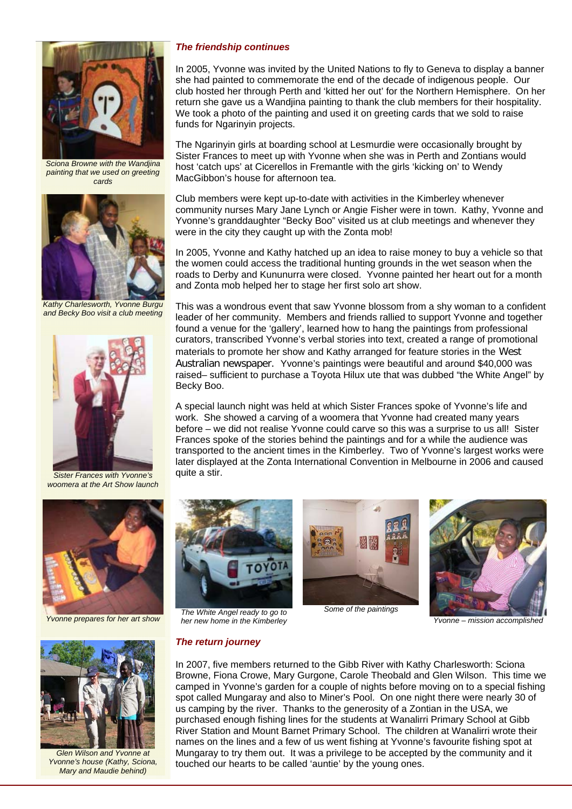

*Sciona Browne with the Wandjina painting that we used on greeting cards* 



*Kathy Charlesworth, Yvonne Burgu and Becky Boo visit a club meeting* 



*Sister Frances with Yvonne's woomera at the Art Show launch* 





*Glen Wilson and Yvonne at Yvonne's house (Kathy, Sciona, Mary and Maudie behind)* 

### *The friendship continues*

In 2005, Yvonne was invited by the United Nations to fly to Geneva to display a banner she had painted to commemorate the end of the decade of indigenous people. Our club hosted her through Perth and 'kitted her out' for the Northern Hemisphere. On her return she gave us a Wandjina painting to thank the club members for their hospitality. We took a photo of the painting and used it on greeting cards that we sold to raise funds for Ngarinyin projects.

The Ngarinyin girls at boarding school at Lesmurdie were occasionally brought by Sister Frances to meet up with Yvonne when she was in Perth and Zontians would host 'catch ups' at Cicerellos in Fremantle with the girls 'kicking on' to Wendy MacGibbon's house for afternoon tea.

Club members were kept up-to-date with activities in the Kimberley whenever community nurses Mary Jane Lynch or Angie Fisher were in town. Kathy, Yvonne and Yvonne's granddaughter "Becky Boo" visited us at club meetings and whenever they were in the city they caught up with the Zonta mob!

In 2005, Yvonne and Kathy hatched up an idea to raise money to buy a vehicle so that the women could access the traditional hunting grounds in the wet season when the roads to Derby and Kununurra were closed. Yvonne painted her heart out for a month and Zonta mob helped her to stage her first solo art show.

This was a wondrous event that saw Yvonne blossom from a shy woman to a confident leader of her community. Members and friends rallied to support Yvonne and together found a venue for the 'gallery', learned how to hang the paintings from professional curators, transcribed Yvonne's verbal stories into text, created a range of promotional materials to promote her show and Kathy arranged for feature stories in the West Australian newspaper. Yvonne's paintings were beautiful and around \$40,000 was raised– sufficient to purchase a Toyota Hilux ute that was dubbed "the White Angel" by Becky Boo.

A special launch night was held at which Sister Frances spoke of Yvonne's life and work. She showed a carving of a woomera that Yvonne had created many years before – we did not realise Yvonne could carve so this was a surprise to us all! Sister Frances spoke of the stories behind the paintings and for a while the audience was transported to the ancient times in the Kimberley. Two of Yvonne's largest works were later displayed at the Zonta International Convention in Melbourne in 2006 and caused quite a stir.



*Yvonne prepares for her art show The White Angel ready to go to her new home in the Kimberley*



*Some of the paintings*



*Yvonne – mission accomplished*

### *The return journey*

In 2007, five members returned to the Gibb River with Kathy Charlesworth: Sciona Browne, Fiona Crowe, Mary Gurgone, Carole Theobald and Glen Wilson. This time we camped in Yvonne's garden for a couple of nights before moving on to a special fishing spot called Mungaray and also to Miner's Pool. On one night there were nearly 30 of us camping by the river. Thanks to the generosity of a Zontian in the USA, we purchased enough fishing lines for the students at Wanalirri Primary School at Gibb River Station and Mount Barnet Primary School. The children at Wanalirri wrote their names on the lines and a few of us went fishing at Yvonne's favourite fishing spot at Mungaray to try them out. It was a privilege to be accepted by the community and it touched our hearts to be called 'auntie' by the young ones.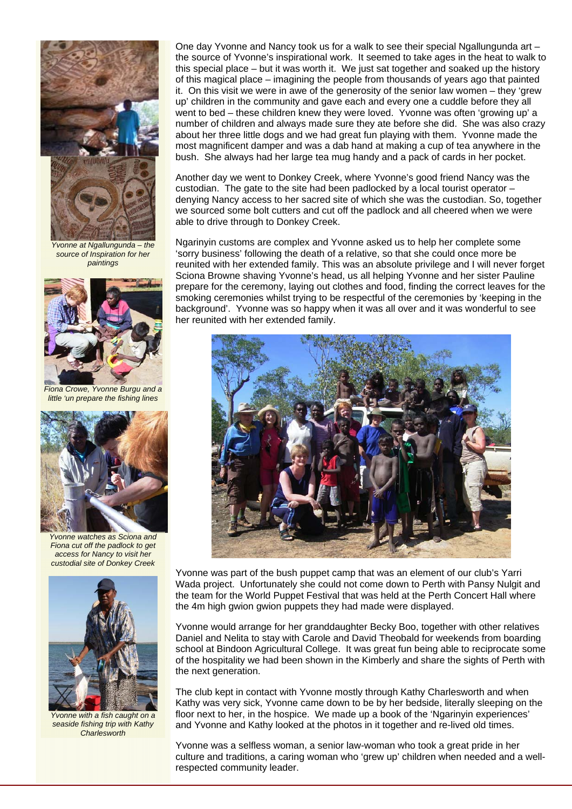

*Yvonne at Ngallungunda – the source of Inspiration for her paintings* 



*Fiona Crowe, Yvonne Burgu and a little 'un prepare the fishing lines* 



*Yvonne watches as Sciona and Fiona cut off the padlock to get access for Nancy to visit her custodial site of Donkey Creek* 



*Yvonne with a fish caught on a seaside fishing trip with Kathy Charlesworth* 

One day Yvonne and Nancy took us for a walk to see their special Ngallungunda art – the source of Yvonne's inspirational work. It seemed to take ages in the heat to walk to this special place – but it was worth it. We just sat together and soaked up the history of this magical place – imagining the people from thousands of years ago that painted it. On this visit we were in awe of the generosity of the senior law women – they 'grew up' children in the community and gave each and every one a cuddle before they all went to bed – these children knew they were loved. Yvonne was often 'growing up' a number of children and always made sure they ate before she did. She was also crazy about her three little dogs and we had great fun playing with them. Yvonne made the most magnificent damper and was a dab hand at making a cup of tea anywhere in the bush. She always had her large tea mug handy and a pack of cards in her pocket.

Another day we went to Donkey Creek, where Yvonne's good friend Nancy was the custodian. The gate to the site had been padlocked by a local tourist operator – denying Nancy access to her sacred site of which she was the custodian. So, together we sourced some bolt cutters and cut off the padlock and all cheered when we were able to drive through to Donkey Creek.

Ngarinyin customs are complex and Yvonne asked us to help her complete some 'sorry business' following the death of a relative, so that she could once more be reunited with her extended family. This was an absolute privilege and I will never forget Sciona Browne shaving Yvonne's head, us all helping Yvonne and her sister Pauline prepare for the ceremony, laying out clothes and food, finding the correct leaves for the smoking ceremonies whilst trying to be respectful of the ceremonies by 'keeping in the background'. Yvonne was so happy when it was all over and it was wonderful to see her reunited with her extended family.



Yvonne was part of the bush puppet camp that was an element of our club's Yarri Wada project. Unfortunately she could not come down to Perth with Pansy Nulgit and the team for the World Puppet Festival that was held at the Perth Concert Hall where the 4m high gwion gwion puppets they had made were displayed.

Yvonne would arrange for her granddaughter Becky Boo, together with other relatives Daniel and Nelita to stay with Carole and David Theobald for weekends from boarding school at Bindoon Agricultural College. It was great fun being able to reciprocate some of the hospitality we had been shown in the Kimberly and share the sights of Perth with the next generation.

The club kept in contact with Yvonne mostly through Kathy Charlesworth and when Kathy was very sick, Yvonne came down to be by her bedside, literally sleeping on the floor next to her, in the hospice. We made up a book of the 'Ngarinyin experiences' and Yvonne and Kathy looked at the photos in it together and re-lived old times.

Yvonne was a selfless woman, a senior law-woman who took a great pride in her culture and traditions, a caring woman who 'grew up' children when needed and a wellrespected community leader.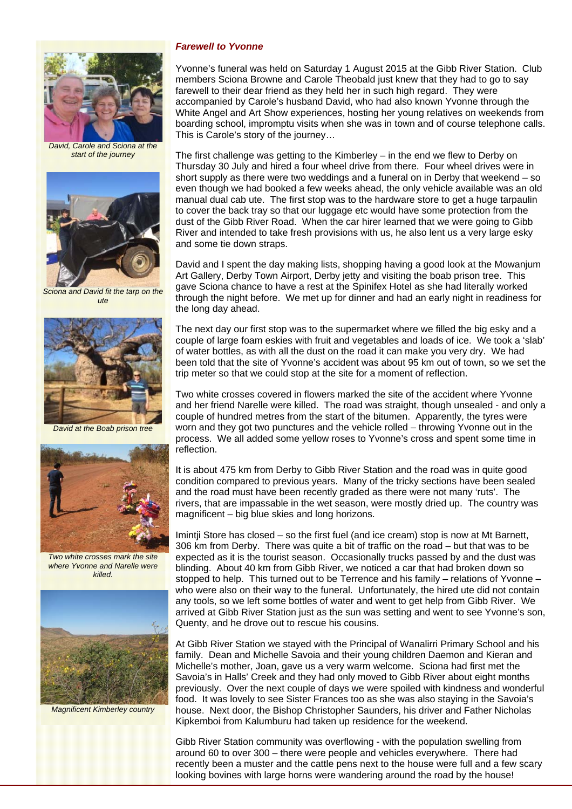

*David, Carole and Sciona at the start of the journey* 



*Sciona and David fit the tarp on the ute* 



*David at the Boab prison tree* 



*Two white crosses mark the site where Yvonne and Narelle were killed.* 



*Magnificent Kimberley country* 

### *Farewell to Yvonne*

Yvonne's funeral was held on Saturday 1 August 2015 at the Gibb River Station. Club members Sciona Browne and Carole Theobald just knew that they had to go to say farewell to their dear friend as they held her in such high regard. They were accompanied by Carole's husband David, who had also known Yvonne through the White Angel and Art Show experiences, hosting her young relatives on weekends from boarding school, impromptu visits when she was in town and of course telephone calls. This is Carole's story of the journey…

The first challenge was getting to the Kimberley – in the end we flew to Derby on Thursday 30 July and hired a four wheel drive from there. Four wheel drives were in short supply as there were two weddings and a funeral on in Derby that weekend – so even though we had booked a few weeks ahead, the only vehicle available was an old manual dual cab ute. The first stop was to the hardware store to get a huge tarpaulin to cover the back tray so that our luggage etc would have some protection from the dust of the Gibb River Road. When the car hirer learned that we were going to Gibb River and intended to take fresh provisions with us, he also lent us a very large esky and some tie down straps.

David and I spent the day making lists, shopping having a good look at the Mowanjum Art Gallery, Derby Town Airport, Derby jetty and visiting the boab prison tree. This gave Sciona chance to have a rest at the Spinifex Hotel as she had literally worked through the night before. We met up for dinner and had an early night in readiness for the long day ahead.

The next day our first stop was to the supermarket where we filled the big esky and a couple of large foam eskies with fruit and vegetables and loads of ice. We took a 'slab' of water bottles, as with all the dust on the road it can make you very dry. We had been told that the site of Yvonne's accident was about 95 km out of town, so we set the trip meter so that we could stop at the site for a moment of reflection.

Two white crosses covered in flowers marked the site of the accident where Yvonne and her friend Narelle were killed. The road was straight, though unsealed - and only a couple of hundred metres from the start of the bitumen. Apparently, the tyres were worn and they got two punctures and the vehicle rolled – throwing Yvonne out in the process. We all added some yellow roses to Yvonne's cross and spent some time in reflection.

It is about 475 km from Derby to Gibb River Station and the road was in quite good condition compared to previous years. Many of the tricky sections have been sealed and the road must have been recently graded as there were not many 'ruts'. The rivers, that are impassable in the wet season, were mostly dried up. The country was magnificent – big blue skies and long horizons.

Imintji Store has closed – so the first fuel (and ice cream) stop is now at Mt Barnett, 306 km from Derby. There was quite a bit of traffic on the road – but that was to be expected as it is the tourist season. Occasionally trucks passed by and the dust was blinding. About 40 km from Gibb River, we noticed a car that had broken down so stopped to help. This turned out to be Terrence and his family – relations of Yvonne – who were also on their way to the funeral. Unfortunately, the hired ute did not contain any tools, so we left some bottles of water and went to get help from Gibb River. We arrived at Gibb River Station just as the sun was setting and went to see Yvonne's son, Quenty, and he drove out to rescue his cousins.

At Gibb River Station we stayed with the Principal of Wanalirri Primary School and his family. Dean and Michelle Savoia and their young children Daemon and Kieran and Michelle's mother, Joan, gave us a very warm welcome. Sciona had first met the Savoia's in Halls' Creek and they had only moved to Gibb River about eight months previously. Over the next couple of days we were spoiled with kindness and wonderful food. It was lovely to see Sister Frances too as she was also staying in the Savoia's house. Next door, the Bishop Christopher Saunders, his driver and Father Nicholas Kipkemboi from Kalumburu had taken up residence for the weekend.

Gibb River Station community was overflowing - with the population swelling from around 60 to over 300 – there were people and vehicles everywhere. There had recently been a muster and the cattle pens next to the house were full and a few scary looking bovines with large horns were wandering around the road by the house!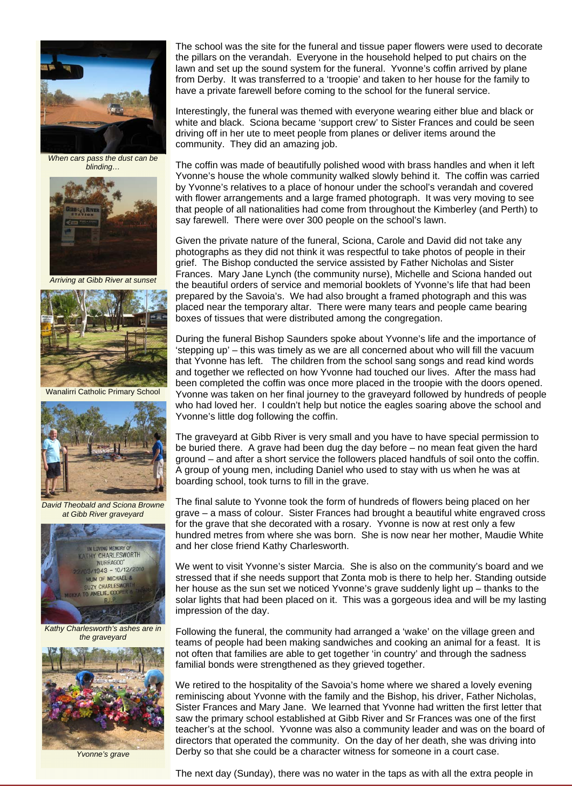

*When cars pass the dust can be blinding…* 



*Arriving at Gibb River at sunset* 



Wanalirri Catholic Primary School



*David Theobald and Sciona Browne at Gibb River graveyard* 



*Kathy Charlesworth's ashes are in the graveyard* 



*Yvonne's grave* 

The school was the site for the funeral and tissue paper flowers were used to decorate the pillars on the verandah. Everyone in the household helped to put chairs on the lawn and set up the sound system for the funeral. Yvonne's coffin arrived by plane from Derby. It was transferred to a 'troopie' and taken to her house for the family to have a private farewell before coming to the school for the funeral service.

Interestingly, the funeral was themed with everyone wearing either blue and black or white and black. Sciona became 'support crew' to Sister Frances and could be seen driving off in her ute to meet people from planes or deliver items around the community. They did an amazing job.

The coffin was made of beautifully polished wood with brass handles and when it left Yvonne's house the whole community walked slowly behind it. The coffin was carried by Yvonne's relatives to a place of honour under the school's verandah and covered with flower arrangements and a large framed photograph. It was very moving to see that people of all nationalities had come from throughout the Kimberley (and Perth) to say farewell. There were over 300 people on the school's lawn.

Given the private nature of the funeral, Sciona, Carole and David did not take any photographs as they did not think it was respectful to take photos of people in their grief. The Bishop conducted the service assisted by Father Nicholas and Sister Frances. Mary Jane Lynch (the community nurse), Michelle and Sciona handed out the beautiful orders of service and memorial booklets of Yvonne's life that had been prepared by the Savoia's. We had also brought a framed photograph and this was placed near the temporary altar. There were many tears and people came bearing boxes of tissues that were distributed among the congregation.

During the funeral Bishop Saunders spoke about Yvonne's life and the importance of 'stepping up' – this was timely as we are all concerned about who will fill the vacuum that Yvonne has left. The children from the school sang songs and read kind words and together we reflected on how Yvonne had touched our lives. After the mass had been completed the coffin was once more placed in the troopie with the doors opened. Yvonne was taken on her final journey to the graveyard followed by hundreds of people who had loved her. I couldn't help but notice the eagles soaring above the school and Yvonne's little dog following the coffin.

The graveyard at Gibb River is very small and you have to have special permission to be buried there. A grave had been dug the day before – no mean feat given the hard ground – and after a short service the followers placed handfuls of soil onto the coffin. A group of young men, including Daniel who used to stay with us when he was at boarding school, took turns to fill in the grave.

The final salute to Yvonne took the form of hundreds of flowers being placed on her grave – a mass of colour. Sister Frances had brought a beautiful white engraved cross for the grave that she decorated with a rosary. Yvonne is now at rest only a few hundred metres from where she was born. She is now near her mother, Maudie White and her close friend Kathy Charlesworth.

We went to visit Yvonne's sister Marcia. She is also on the community's board and we stressed that if she needs support that Zonta mob is there to help her. Standing outside her house as the sun set we noticed Yvonne's grave suddenly light up – thanks to the solar lights that had been placed on it. This was a gorgeous idea and will be my lasting impression of the day.

Following the funeral, the community had arranged a 'wake' on the village green and teams of people had been making sandwiches and cooking an animal for a feast. It is not often that families are able to get together 'in country' and through the sadness familial bonds were strengthened as they grieved together.

We retired to the hospitality of the Savoia's home where we shared a lovely evening reminiscing about Yvonne with the family and the Bishop, his driver, Father Nicholas, Sister Frances and Mary Jane. We learned that Yvonne had written the first letter that saw the primary school established at Gibb River and Sr Frances was one of the first teacher's at the school. Yvonne was also a community leader and was on the board of directors that operated the community. On the day of her death, she was driving into Derby so that she could be a character witness for someone in a court case.

The next day (Sunday), there was no water in the taps as with all the extra people in